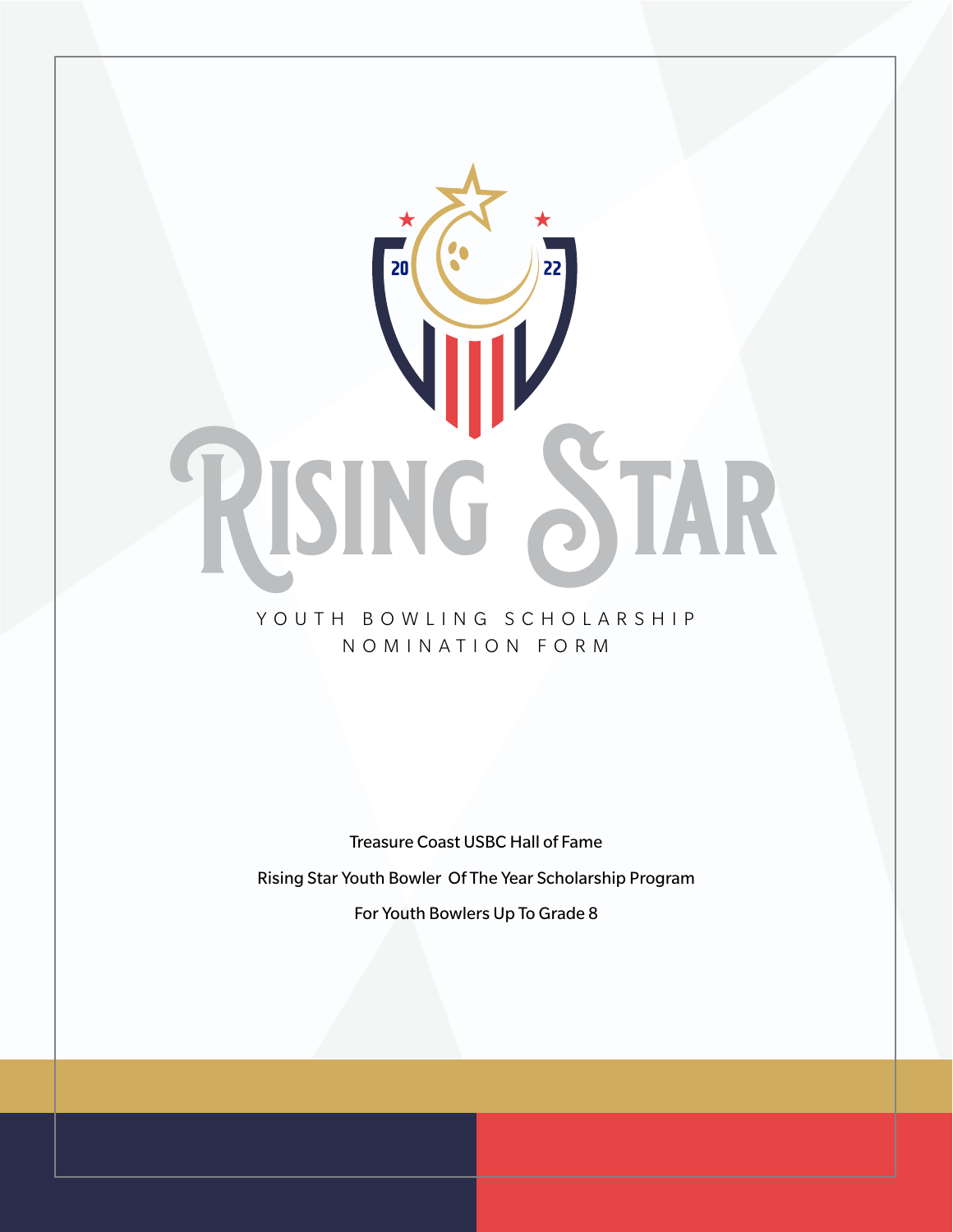

### YOUTH BOWLING SCHOLARSHIP NOMINATION FORM

Treasure Coast USBC Hall of Fame Rising Star Youth Bowler Of The Year Scholarship Program For Youth Bowlers Up To Grade 8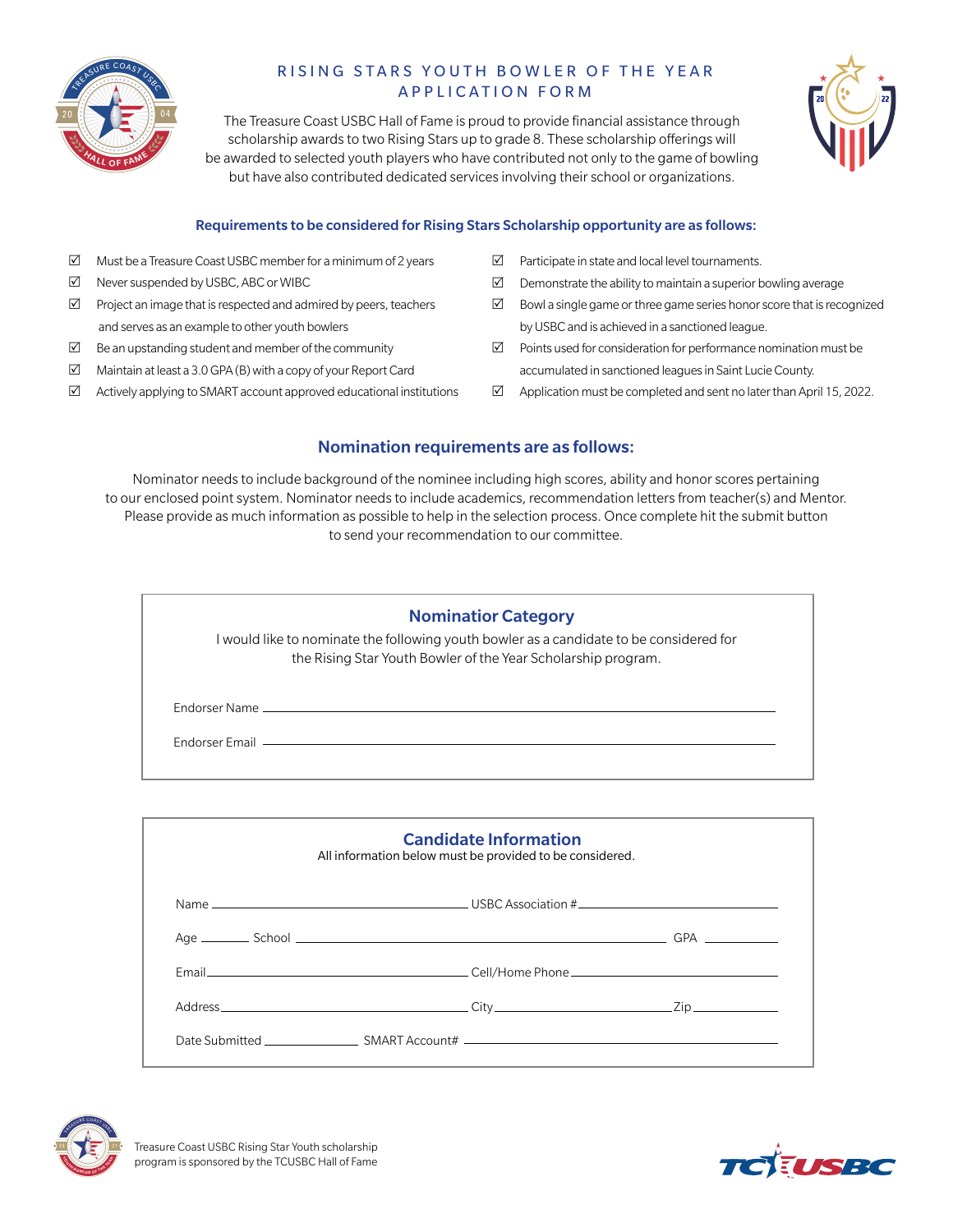

# R ISING STARS YOUTH BOWLER OF THE YEAR APPLICATION FORM

The Treasure Coast USBC Hall of Fame is proud to provide financial assistance through scholarship awards to two Rising Stars up to grade 8. These scholarship offerings will be awarded to selected youth players who have contributed not only to the game of bowling but have also contributed dedicated services involving their school or organizations.



#### Requirements to be considered for Rising Stars Scholarship opportunity are as follows:

- $\boxtimes$  Must be a Treasure Coast USBC member for a minimum of 2 years
- $\nabla$  Never suspended by USBC, ABC or WIBC
- $\boxtimes$  Project an image that is respected and admired by peers, teachers and serves as an example to other youth bowlers
- $\boxtimes$  Be an upstanding student and member of the community
- $\boxtimes$  Maintain at least a 3.0 GPA (B) with a copy of your Report Card
- $\boxtimes$  Actively applying to SMART account approved educational institutions
- $\boxtimes$  Participate in state and local level tournaments.
- $\boxtimes$  Demonstrate the ability to maintain a superior bowling average
- $\boxtimes$  Bowl a single game or three game series honor score that is recognized by USBC and is achieved in a sanctioned league.
- $\boxtimes$  Points used for consideration for performance nomination must be accumulated in sanctioned leagues in Saint Lucie County.
- $\boxtimes$  Application must be completed and sent no later than April 15, 2022.

#### Nomination requirements are as follows:

Nominator needs to include background of the nominee including high scores, ability and honor scores pertaining to our enclosed point system. Nominator needs to include academics, recommendation letters from teacher(s) and Mentor. Please provide as much information as possible to help in the selection process. Once complete hit the submit button to send your recommendation to our committee.

#### Nominatior Category

I would like to nominate the following youth bowler as a candidate to be considered for the Rising Star Youth Bowler of the Year Scholarship program.

Endorser Name

Endorser Email

| <b>Candidate Information</b><br>All information below must be provided to be considered. |  |  |  |  |  |  |
|------------------------------------------------------------------------------------------|--|--|--|--|--|--|
|                                                                                          |  |  |  |  |  |  |
|                                                                                          |  |  |  |  |  |  |
|                                                                                          |  |  |  |  |  |  |
|                                                                                          |  |  |  |  |  |  |
|                                                                                          |  |  |  |  |  |  |



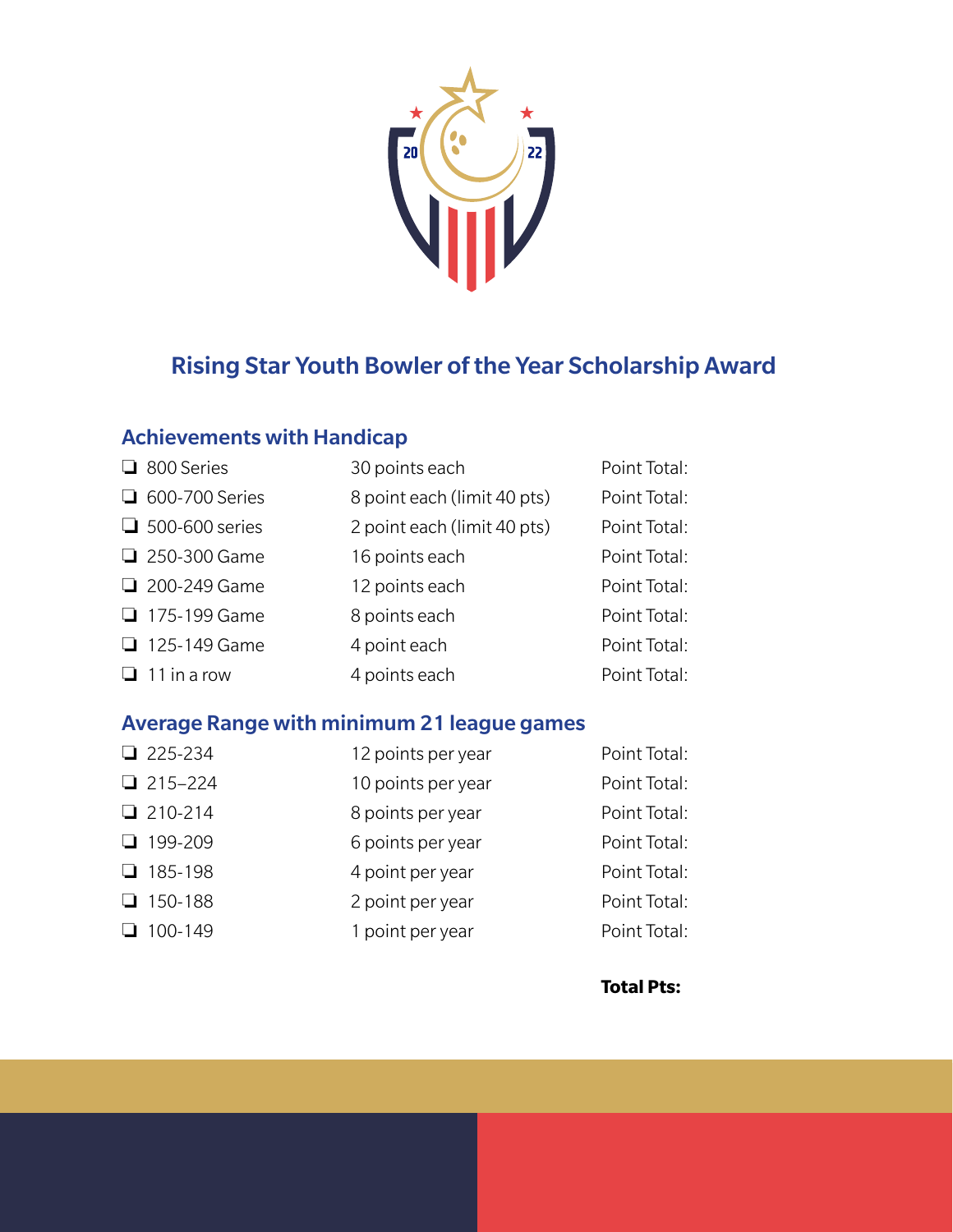

# Rising Star Youth Bowler of the Year Scholarship Award

## Achievements with Handicap

| □ 800 Series          | 30 points each              | Point Total: |
|-----------------------|-----------------------------|--------------|
| □ 600-700 Series      | 8 point each (limit 40 pts) | Point Total: |
| $\Box$ 500-600 series | 2 point each (limit 40 pts) | Point Total: |
| □ 250-300 Game        | 16 points each              | Point Total: |
| 200-249 Game          | 12 points each              | Point Total: |
| □ 175-199 Game        | 8 points each               | Point Total: |
| □ 125-149 Game        | 4 point each                | Point Total: |
| $\Box$ 11 in a row    | 4 points each               | Point Total: |

## Average Range with minimum 21 league games

| $225-234$   | 12 points per year | Point Total: |
|-------------|--------------------|--------------|
| $215 - 224$ | 10 points per year | Point Total: |
| $210-214$   | 8 points per year  | Point Total: |
| $199-209$   | 6 points per year  | Point Total: |
| $185-198$   | 4 point per year   | Point Total: |
| $150-188$   | 2 point per year   | Point Total: |
| $100-149$   | 1 point per year   | Point Total: |

**Total Pts:**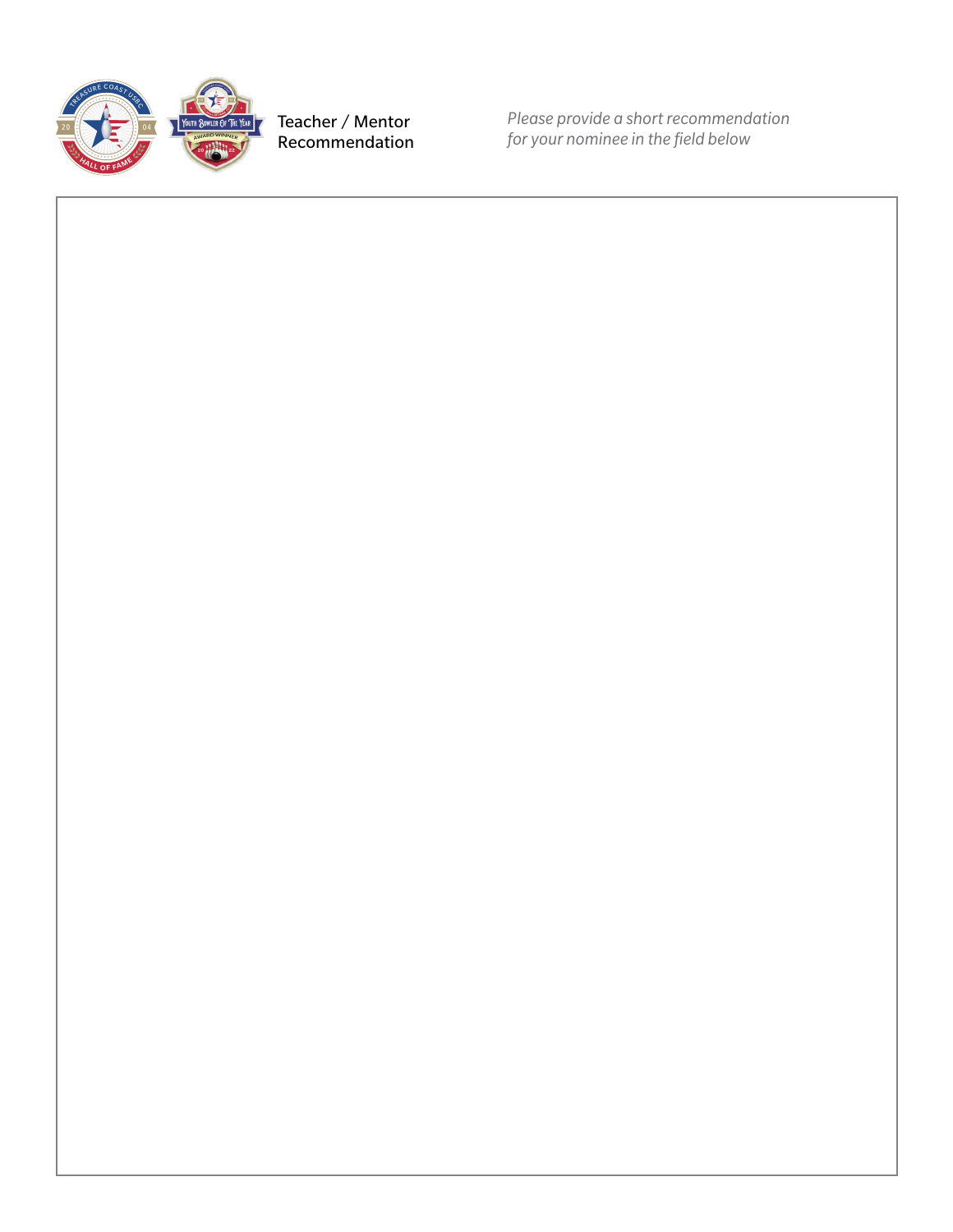

Teacher / Mentor Recommendation *Please provide a short recommendation for your nominee in the field below*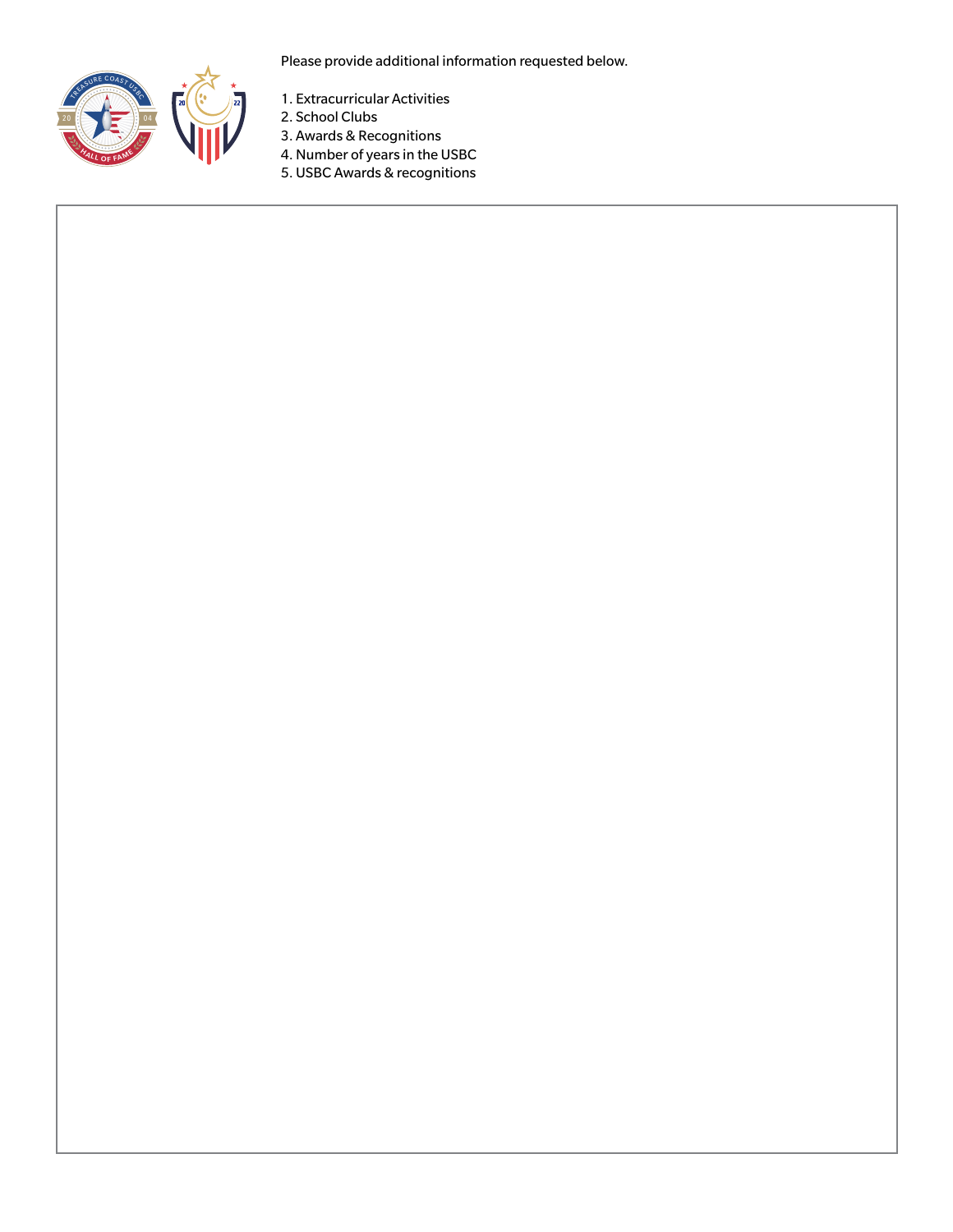

Please provide additional information requested below.

- 1. Extracurricular Activities
- 2. School Clubs
- 3. Awards & Recognitions
- 4. Number of years in the USBC
- 5. USBC Awards & recognitions